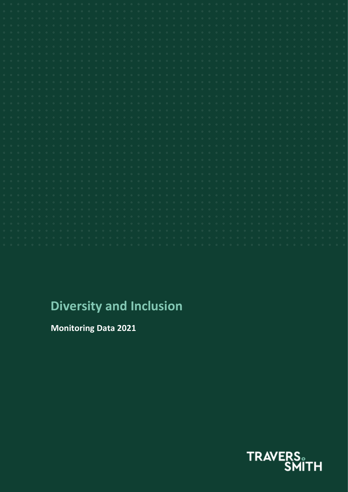| $\begin{array}{ccc} \circ & \circ \end{array}$                 |  |  |  |  |  |  |  |  |  |  |  |  |  |  |  |  |  |  |  |  |  |  |  |
|----------------------------------------------------------------|--|--|--|--|--|--|--|--|--|--|--|--|--|--|--|--|--|--|--|--|--|--|--|
| $\begin{array}{ccccc}\n\mathbb{O} & & \mathbb{O}\n\end{array}$ |  |  |  |  |  |  |  |  |  |  |  |  |  |  |  |  |  |  |  |  |  |  |  |
| $\begin{array}{ccc} \circ & \circ \end{array}$                 |  |  |  |  |  |  |  |  |  |  |  |  |  |  |  |  |  |  |  |  |  |  |  |
| $\begin{array}{ccc} \circ & \circ \circ \end{array}$           |  |  |  |  |  |  |  |  |  |  |  |  |  |  |  |  |  |  |  |  |  |  |  |
| $\begin{array}{ccc} \mathbb{O} & & \mathbb{O} \end{array}$     |  |  |  |  |  |  |  |  |  |  |  |  |  |  |  |  |  |  |  |  |  |  |  |
| $\begin{array}{cccc}\n\circ\\ \circ\\ \end{array}$             |  |  |  |  |  |  |  |  |  |  |  |  |  |  |  |  |  |  |  |  |  |  |  |
|                                                                |  |  |  |  |  |  |  |  |  |  |  |  |  |  |  |  |  |  |  |  |  |  |  |
| $Q = Q$                                                        |  |  |  |  |  |  |  |  |  |  |  |  |  |  |  |  |  |  |  |  |  |  |  |
| $Q = Q$                                                        |  |  |  |  |  |  |  |  |  |  |  |  |  |  |  |  |  |  |  |  |  |  |  |
| $Q = -Q$                                                       |  |  |  |  |  |  |  |  |  |  |  |  |  |  |  |  |  |  |  |  |  |  |  |
| $\begin{array}{ccc} \mathbb{O} & \mathbb{O} \end{array}$       |  |  |  |  |  |  |  |  |  |  |  |  |  |  |  |  |  |  |  |  |  |  |  |
| $\begin{array}{ccc} \mathbb{O} & & \mathbb{O} \end{array}$     |  |  |  |  |  |  |  |  |  |  |  |  |  |  |  |  |  |  |  |  |  |  |  |
| $\circ$ $\circ$                                                |  |  |  |  |  |  |  |  |  |  |  |  |  |  |  |  |  |  |  |  |  |  |  |
| $\begin{array}{ccc} \circ & \circ \end{array}$                 |  |  |  |  |  |  |  |  |  |  |  |  |  |  |  |  |  |  |  |  |  |  |  |
| $\begin{array}{ccc}\n\circ & \circ & \circ\end{array}$         |  |  |  |  |  |  |  |  |  |  |  |  |  |  |  |  |  |  |  |  |  |  |  |
| $\begin{array}{ccc} \circ & \circ \end{array}$                 |  |  |  |  |  |  |  |  |  |  |  |  |  |  |  |  |  |  |  |  |  |  |  |
| $\begin{array}{ccc} \mathbb{G} & \mathbb{G} \end{array}$       |  |  |  |  |  |  |  |  |  |  |  |  |  |  |  |  |  |  |  |  |  |  |  |
| $\begin{array}{ccc} 0 & & 0 \end{array}$                       |  |  |  |  |  |  |  |  |  |  |  |  |  |  |  |  |  |  |  |  |  |  |  |
| $0 \quad 0$                                                    |  |  |  |  |  |  |  |  |  |  |  |  |  |  |  |  |  |  |  |  |  |  |  |
|                                                                |  |  |  |  |  |  |  |  |  |  |  |  |  |  |  |  |  |  |  |  |  |  |  |
|                                                                |  |  |  |  |  |  |  |  |  |  |  |  |  |  |  |  |  |  |  |  |  |  |  |
| $\circ \hspace{10pt} \circ \hspace{10pt} \circ$                |  |  |  |  |  |  |  |  |  |  |  |  |  |  |  |  |  |  |  |  |  |  |  |
| $Q = -Q$                                                       |  |  |  |  |  |  |  |  |  |  |  |  |  |  |  |  |  |  |  |  |  |  |  |
| $Q = -Q$                                                       |  |  |  |  |  |  |  |  |  |  |  |  |  |  |  |  |  |  |  |  |  |  |  |
| $Q = Q$                                                        |  |  |  |  |  |  |  |  |  |  |  |  |  |  |  |  |  |  |  |  |  |  |  |
| $\begin{array}{ccc} \mathbb{O} & & \mathbb{O} \end{array}$     |  |  |  |  |  |  |  |  |  |  |  |  |  |  |  |  |  |  |  |  |  |  |  |
| $\begin{array}{ccc} \circ & \circ \end{array}$                 |  |  |  |  |  |  |  |  |  |  |  |  |  |  |  |  |  |  |  |  |  |  |  |
|                                                                |  |  |  |  |  |  |  |  |  |  |  |  |  |  |  |  |  |  |  |  |  |  |  |
|                                                                |  |  |  |  |  |  |  |  |  |  |  |  |  |  |  |  |  |  |  |  |  |  |  |
|                                                                |  |  |  |  |  |  |  |  |  |  |  |  |  |  |  |  |  |  |  |  |  |  |  |
|                                                                |  |  |  |  |  |  |  |  |  |  |  |  |  |  |  |  |  |  |  |  |  |  |  |
|                                                                |  |  |  |  |  |  |  |  |  |  |  |  |  |  |  |  |  |  |  |  |  |  |  |
|                                                                |  |  |  |  |  |  |  |  |  |  |  |  |  |  |  |  |  |  |  |  |  |  |  |

# **Diversity and Inclusion**

**Monitoring Data 2021**

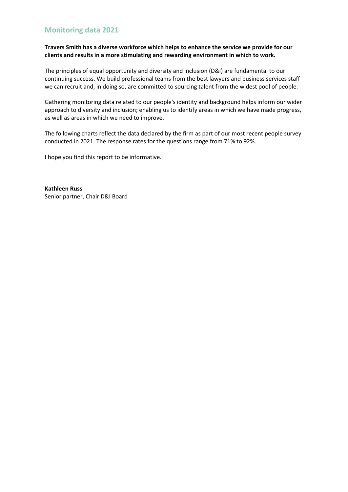### **Monitoring data 2021**

### **Travers Smith has a diverse workforce which helps to enhance the service we provide for our clients and results in a more stimulating and rewarding environment in which to work.**

The principles of equal opportunity and diversity and inclusion (D&I) are fundamental to our continuing success. We build professional teams from the best lawyers and business services staff we can recruit and, in doing so, are committed to sourcing talent from the widest pool of people.

Gathering monitoring data related to our people's identity and background helps inform our wider approach to diversity and inclusion; enabling us to identify areas in which we have made progress, as well as areas in which we need to improve.

The following charts reflect the data declared by the firm as part of our most recent people survey conducted in 2021. The response rates for the questions range from 71% to 92%.

I hope you find this report to be informative.

**Kathleen Russ** Senior partner, Chair D&I Board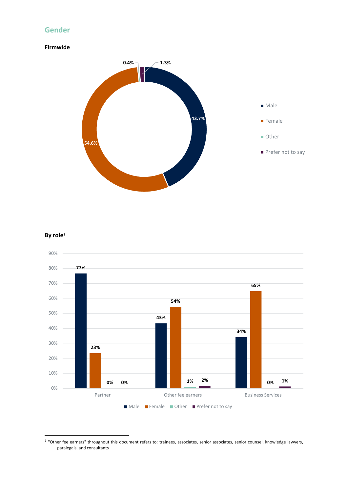### **Gender**

### **Firmwide**



### **By role<sup>1</sup>**



1 "Other fee earners" throughout this document refers to: trainees, associates, senior associates, senior counsel, knowledge lawyers, paralegals, and consultants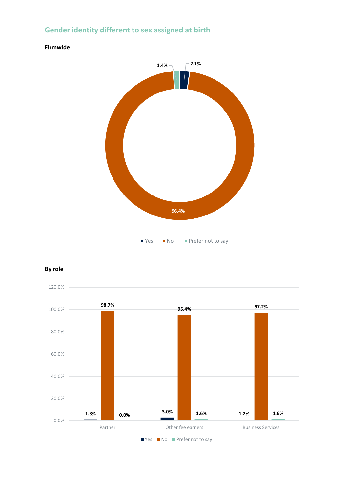# **Gender identity different to sex assigned at birth**



#### **Firmwide**

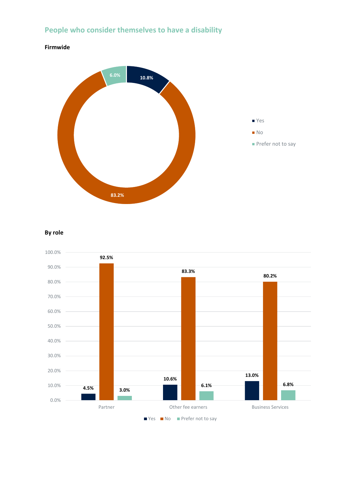# **People who consider themselves to have a disability**



#### **By role**

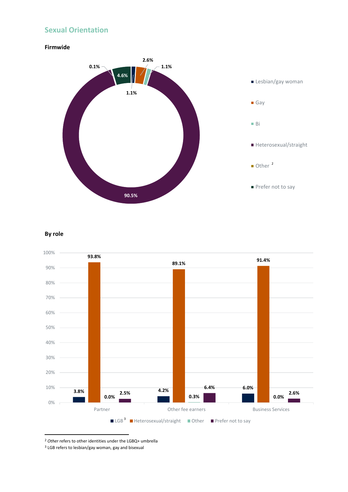### **Sexual Orientation**





#### **By role**



<sup>2</sup> *Other* refers to other identities under the LGBQ+ umbrella

 $3$  LGB refers to lesbian/gay woman, gay and bisexual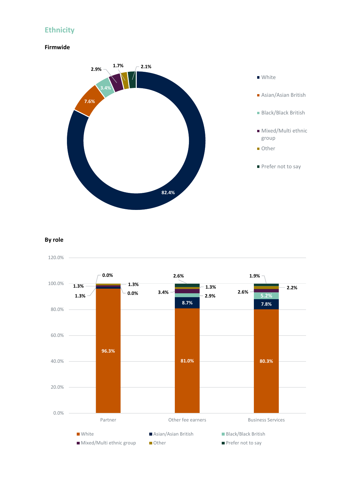### **Ethnicity**

### **Firmwide**



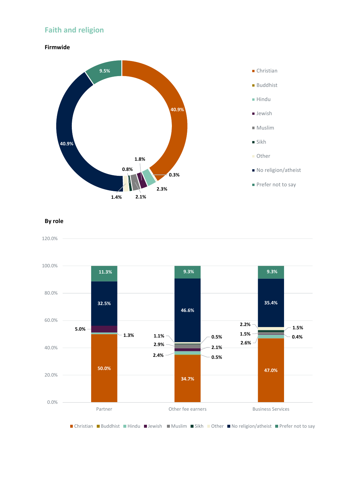# **Faith and religion**

**Firmwide**





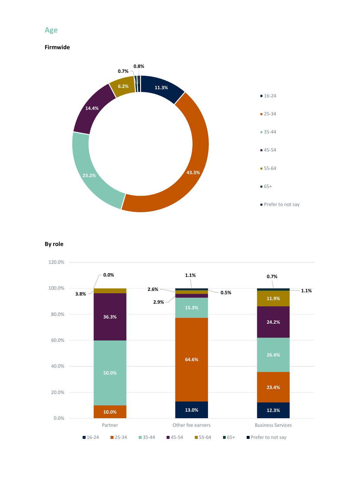### **Age**

### **Firmwide**



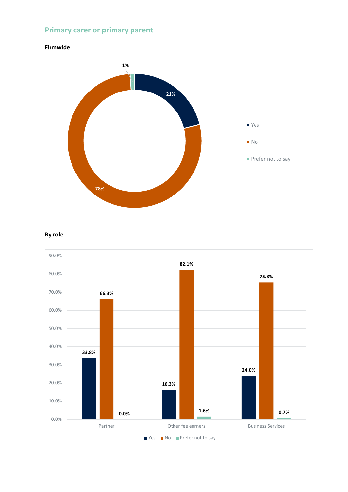# **Primary carer or primary parent**



### **By role**

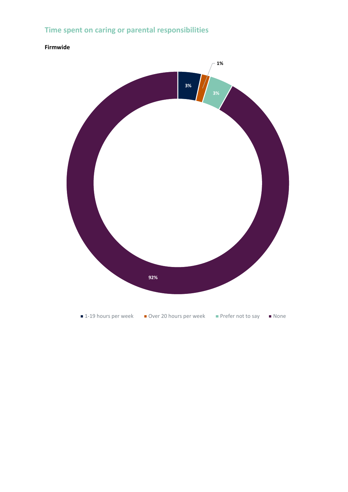# **Time spent on caring or parental responsibilities**

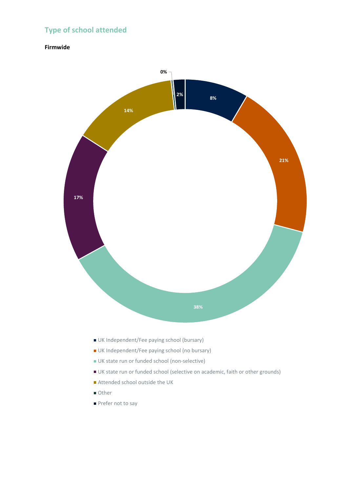# **Type of school attended**



- UK Independent/Fee paying school (bursary)
- UK Independent/Fee paying school (no bursary)
- UK state run or funded school (non-selective)
- UK state run or funded school (selective on academic, faith or other grounds)
- Attended school outside the UK
- Other
- Prefer not to say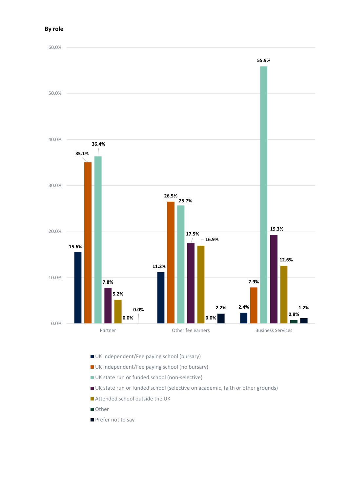

- UK Independent/Fee paying school (bursary)
- UK Independent/Fee paying school (no bursary)
- UK state run or funded school (non-selective)
- UK state run or funded school (selective on academic, faith or other grounds)
- Attended school outside the UK
- **Other**
- Prefer not to say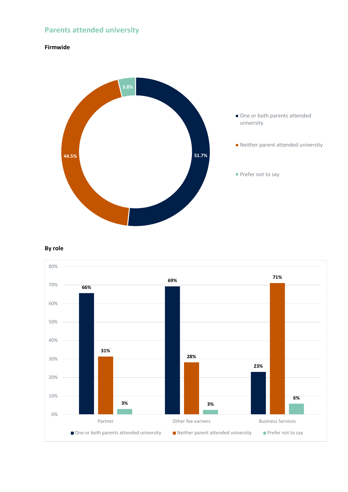# **Parents attended university**

#### **Firmwide**



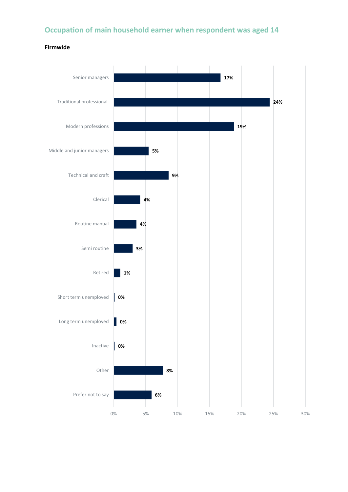# **Occupation of main household earner when respondent was aged 14**

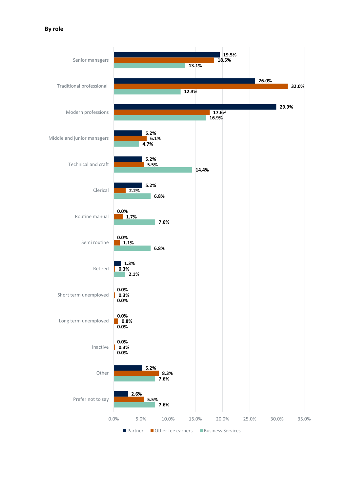